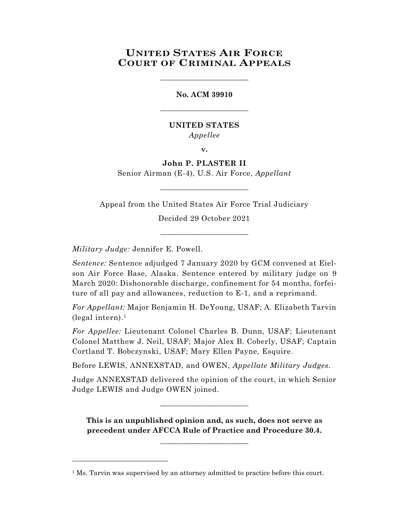# **UNITED STATES AIR FORCE COURT OF CRIMINAL APPEALS**

\_\_\_\_\_\_\_\_\_\_\_\_\_\_\_\_\_\_\_\_\_\_\_\_

# **No. ACM 39910** \_\_\_\_\_\_\_\_\_\_\_\_\_\_\_\_\_\_\_\_\_\_\_\_

## **UNITED STATES** *Appellee*

**v.**

# **John P. PLASTER II**

Senior Airman (E-4), U.S. Air Force, *Appellant*  $\_$ 

Appeal from the United States Air Force Trial Judiciary

Decided 29 October 2021 \_\_\_\_\_\_\_\_\_\_\_\_\_\_\_\_\_\_\_\_\_\_\_\_

*Military Judge:* Jennifer E. Powell.

l

*Sentence:* Sentence adjudged 7 January 2020 by GCM convened at Eielson Air Force Base, Alaska. Sentence entered by military judge on 9 March 2020: Dishonorable discharge, confinement for 54 months, forfeiture of all pay and allowances, reduction to E-1, and a reprimand.

*For Appellant:* Major Benjamin H. DeYoung, USAF; A. Elizabeth Tarvin (legal intern). 1

*For Appellee:* Lieutenant Colonel Charles B. Dunn, USAF; Lieutenant Colonel Matthew J. Neil, USAF; Major Alex B. Coberly, USAF; Captain Cortland T. Bobczynski, USAF; Mary Ellen Payne, Esquire.

Before LEWIS, ANNEXSTAD, and OWEN, *Appellate Military Judges.*

Judge ANNEXSTAD delivered the opinion of the court, in which Senior Judge LEWIS and Judge OWEN joined.

\_\_\_\_\_\_\_\_\_\_\_\_\_\_\_\_\_\_\_\_\_\_\_\_

**This is an unpublished opinion and, as such, does not serve as precedent under AFCCA Rule of Practice and Procedure 30.4.**

**\_\_\_\_\_\_\_\_\_\_\_\_\_\_\_\_\_\_\_\_\_\_\_\_**

<sup>&</sup>lt;sup>1</sup> Ms. Tarvin was supervised by an attorney admitted to practice before this court.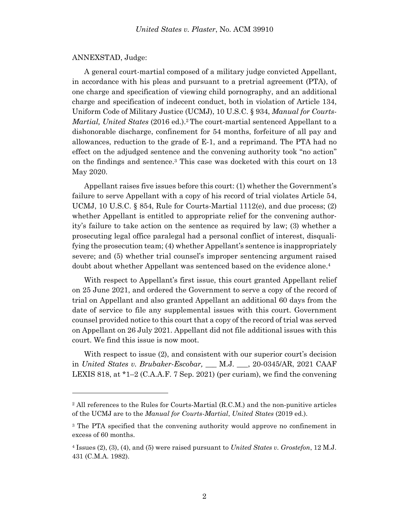#### ANNEXSTAD, Judge:

l

A general court-martial composed of a military judge convicted Appellant, in accordance with his pleas and pursuant to a pretrial agreement (PTA), of one charge and specification of viewing child pornography, and an additional charge and specification of indecent conduct, both in violation of Article 134, Uniform Code of Military Justice (UCMJ), 10 U.S.C. § 934, *Manual for Courts-Martial, United States* (2016 ed.). <sup>2</sup> The court-martial sentenced Appellant to a dishonorable discharge, confinement for 54 months, forfeiture of all pay and allowances, reduction to the grade of E-1, and a reprimand. The PTA had no effect on the adjudged sentence and the convening authority took "no action" on the findings and sentence. <sup>3</sup> This case was docketed with this court on 13 May 2020.

Appellant raises five issues before this court: (1) whether the Government's failure to serve Appellant with a copy of his record of trial violates Article 54, UCMJ, 10 U.S.C.  $\S$  854, Rule for Courts-Martial 1112(e), and due process; (2) whether Appellant is entitled to appropriate relief for the convening authority's failure to take action on the sentence as required by law; (3) whether a prosecuting legal office paralegal had a personal conflict of interest, disqualifying the prosecution team; (4) whether Appellant's sentence is inappropriately severe; and (5) whether trial counsel's improper sentencing argument raised doubt about whether Appellant was sentenced based on the evidence alone.<sup>4</sup>

With respect to Appellant's first issue, this court granted Appellant relief on 25 June 2021, and ordered the Government to serve a copy of the record of trial on Appellant and also granted Appellant an additional 60 days from the date of service to file any supplemental issues with this court. Government counsel provided notice to this court that a copy of the record of trial was served on Appellant on 26 July 2021. Appellant did not file additional issues with this court. We find this issue is now moot.

With respect to issue (2), and consistent with our superior court's decision in *United States v. Brubaker-Escobar, \_*\_\_ M.J. \_\_\_, 20-0345/AR, 2021 CAAF LEXIS 818, at \*1–2 (C.A.A.F. 7 Sep. 2021) (per curiam), we find the convening

 $2$  All references to the Rules for Courts-Martial (R.C.M.) and the non-punitive articles of the UCMJ are to the *Manual for Courts-Martial*, *United States* (2019 ed.).

<sup>&</sup>lt;sup>3</sup> The PTA specified that the convening authority would approve no confinement in excess of 60 months.

<sup>4</sup> Issues (2), (3), (4), and (5) were raised pursuant to *United States v. Grostefon*, 12 M.J. 431 (C.M.A. 1982).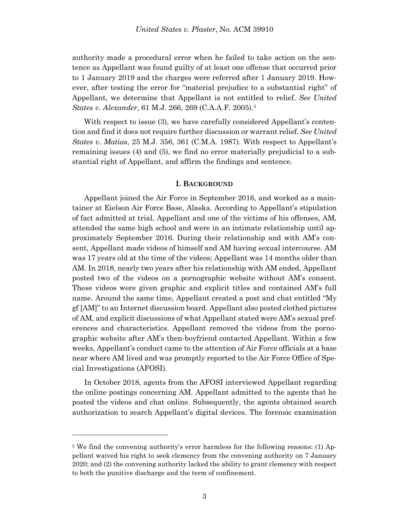authority made a procedural error when he failed to take action on the sentence as Appellant was found guilty of at least one offense that occurred prior to 1 January 2019 and the charges were referred after 1 January 2019. However, after testing the error for "material prejudice to a substantial right" of Appellant, we determine that Appellant is not entitled to relief. *See United States v. Alexander*, 61 M.J. 266, 269 (C.A.A.F. 2005).<sup>5</sup>

With respect to issue (3), we have carefully considered Appellant's contention and find it does not require further discussion or warrant relief. *See United States v. Matias*, 25 M.J. 356, 361 (C.M.A. 1987). With respect to Appellant's remaining issues (4) and (5), we find no error materially prejudicial to a substantial right of Appellant, and affirm the findings and sentence.

#### **I. BACKGROUND**

Appellant joined the Air Force in September 2016, and worked as a maintainer at Eielson Air Force Base, Alaska. According to Appellant's stipulation of fact admitted at trial, Appellant and one of the victims of his offenses, AM, attended the same high school and were in an intimate relationship until approximately September 2016. During their relationship and with AM's consent, Appellant made videos of himself and AM having sexual intercourse. AM was 17 years old at the time of the videos; Appellant was 14 months older than AM. In 2018, nearly two years after his relationship with AM ended, Appellant posted two of the videos on a pornographic website without AM's consent. These videos were given graphic and explicit titles and contained AM's full name. Around the same time, Appellant created a post and chat entitled "My gf [AM]" to an Internet discussion board. Appellant also posted clothed pictures of AM, and explicit discussions of what Appellant stated were AM's sexual preferences and characteristics. Appellant removed the videos from the pornographic website after AM's then-boyfriend contacted Appellant. Within a few weeks, Appellant's conduct came to the attention of Air Force officials at a base near where AM lived and was promptly reported to the Air Force Office of Special Investigations (AFOSI).

In October 2018, agents from the AFOSI interviewed Appellant regarding the online postings concerning AM. Appellant admitted to the agents that he posted the videos and chat online. Subsequently, the agents obtained search authorization to search Appellant's digital devices. The forensic examination

l

<sup>&</sup>lt;sup>5</sup> We find the convening authority's error harmless for the following reasons: (1) Appellant waived his right to seek clemency from the convening authority on 7 January 2020; and (2) the convening authority lacked the ability to grant clemency with respect to both the punitive discharge and the term of confinement.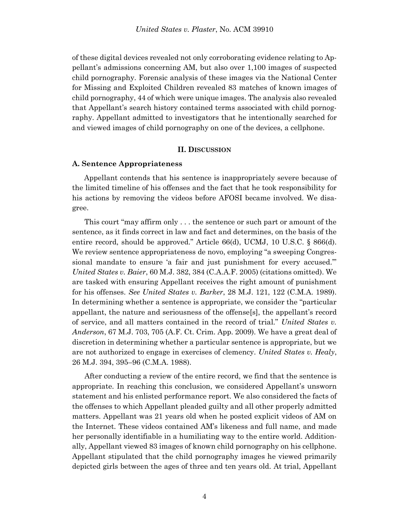of these digital devices revealed not only corroborating evidence relating to Appellant's admissions concerning AM, but also over 1,100 images of suspected child pornography. Forensic analysis of these images via the National Center for Missing and Exploited Children revealed 83 matches of known images of child pornography, 44 of which were unique images. The analysis also revealed that Appellant's search history contained terms associated with child pornography. Appellant admitted to investigators that he intentionally searched for and viewed images of child pornography on one of the devices, a cellphone.

#### **II. DISCUSSION**

#### **A. Sentence Appropriateness**

Appellant contends that his sentence is inappropriately severe because of the limited timeline of his offenses and the fact that he took responsibility for his actions by removing the videos before AFOSI became involved. We disagree.

 This court "may affirm only . . . the sentence or such part or amount of the sentence, as it finds correct in law and fact and determines, on the basis of the entire record, should be approved." Article 66(d), UCMJ, 10 U.S.C. § 866(d). We review sentence appropriateness de novo, employing "a sweeping Congressional mandate to ensure 'a fair and just punishment for every accused.'" *United States v. Baier*, 60 M.J. 382, 384 (C.A.A.F. 2005) (citations omitted). We are tasked with ensuring Appellant receives the right amount of punishment for his offenses. *See United States v. Barker*, 28 M.J. 121, 122 (C.M.A. 1989). In determining whether a sentence is appropriate, we consider the "particular appellant, the nature and seriousness of the offense[s], the appellant's record of service, and all matters contained in the record of trial." *United States v. Anderson*, 67 M.J. 703, 705 (A.F. Ct. Crim. App. 2009). We have a great deal of discretion in determining whether a particular sentence is appropriate, but we are not authorized to engage in exercises of clemency. *United States v. Healy*, 26 M.J. 394, 395–96 (C.M.A. 1988).

 After conducting a review of the entire record, we find that the sentence is appropriate. In reaching this conclusion, we considered Appellant's unsworn statement and his enlisted performance report. We also considered the facts of the offenses to which Appellant pleaded guilty and all other properly admitted matters. Appellant was 21 years old when he posted explicit videos of AM on the Internet. These videos contained AM's likeness and full name, and made her personally identifiable in a humiliating way to the entire world. Additionally, Appellant viewed 83 images of known child pornography on his cellphone. Appellant stipulated that the child pornography images he viewed primarily depicted girls between the ages of three and ten years old. At trial, Appellant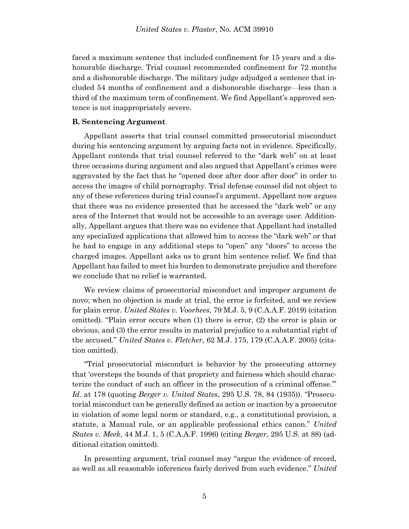faced a maximum sentence that included confinement for 15 years and a dishonorable discharge. Trial counsel recommended confinement for 72 months and a dishonorable discharge. The military judge adjudged a sentence that included 54 months of confinement and a dishonorable discharge—less than a third of the maximum term of confinement. We find Appellant's approved sentence is not inappropriately severe.

### **B. Sentencing Argument**

Appellant asserts that trial counsel committed prosecutorial misconduct during his sentencing argument by arguing facts not in evidence. Specifically, Appellant contends that trial counsel referred to the "dark web" on at least three occasions during argument and also argued that Appellant's crimes were aggravated by the fact that he "opened door after door after door" in order to access the images of child pornography. Trial defense counsel did not object to any of these references during trial counsel's argument. Appellant now argues that there was no evidence presented that he accessed the "dark web" or any area of the Internet that would not be accessible to an average user. Additionally, Appellant argues that there was no evidence that Appellant had installed any specialized applications that allowed him to access the "dark web" or that he had to engage in any additional steps to "open" any "doors" to access the charged images. Appellant asks us to grant him sentence relief. We find that Appellant has failed to meet his burden to demonstrate prejudice and therefore we conclude that no relief is warranted.

We review claims of prosecutorial misconduct and improper argument de novo; when no objection is made at trial, the error is forfeited, and we review for plain error. *United States v. Voorhees*, 79 M.J. 5, 9 (C.A.A.F. 2019) (citation omitted). "Plain error occurs when (1) there is error, (2) the error is plain or obvious, and (3) the error results in material prejudice to a substantial right of the accused." *United States v. Fletcher*, 62 M.J. 175, 179 (C.A.A.F. 2005) (citation omitted).

"Trial prosecutorial misconduct is behavior by the prosecuting attorney that 'oversteps the bounds of that propriety and fairness which should characterize the conduct of such an officer in the prosecution of a criminal offense.'" *Id.* at 178 (quoting *Berger v. United States*, 295 U.S. 78, 84 (1935)). "Prosecutorial misconduct can be generally defined as action or inaction by a prosecutor in violation of some legal norm or standard, e.g., a constitutional provision, a statute, a Manual rule, or an applicable professional ethics canon." *United States v. Meek*, 44 M.J. 1, 5 (C.A.A.F. 1996) (citing *Berger*, 295 U.S. at 88) (additional citation omitted).

In presenting argument, trial counsel may "argue the evidence of record, as well as all reasonable inferences fairly derived from such evidence." *United*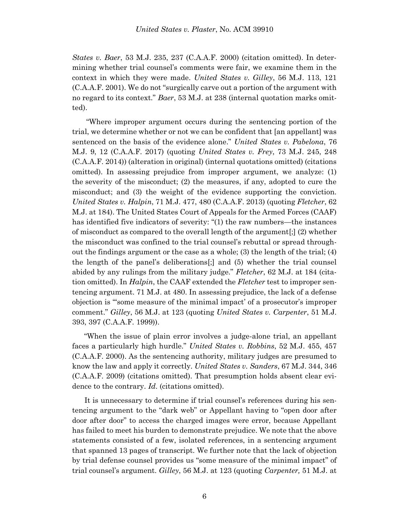*States v. Baer*, 53 M.J. 235, 237 (C.A.A.F. 2000) (citation omitted). In determining whether trial counsel's comments were fair, we examine them in the context in which they were made. *United States v. Gilley*, 56 M.J. 113, 121 (C.A.A.F. 2001). We do not "surgically carve out a portion of the argument with no regard to its context." *Baer*, 53 M.J. at 238 (internal quotation marks omitted).

"Where improper argument occurs during the sentencing portion of the trial, we determine whether or not we can be confident that [an appellant] was sentenced on the basis of the evidence alone." *United States v. Pabelona*, 76 M.J. 9, 12 (C.A.A.F. 2017) (quoting *United States v. Frey*, 73 M.J. 245, 248 (C.A.A.F. 2014)) (alteration in original) (internal quotations omitted) (citations omitted). In assessing prejudice from improper argument, we analyze: (1) the severity of the misconduct; (2) the measures, if any, adopted to cure the misconduct; and (3) the weight of the evidence supporting the conviction. *United States v. Halpin*, 71 M.J. 477, 480 (C.A.A.F. 2013) (quoting *Fletcher*, 62 M.J. at 184). The United States Court of Appeals for the Armed Forces (CAAF) has identified five indicators of severity: "(1) the raw numbers—the instances of misconduct as compared to the overall length of the argument[;] (2) whether the misconduct was confined to the trial counsel's rebuttal or spread throughout the findings argument or the case as a whole; (3) the length of the trial; (4) the length of the panel's deliberations[;] and (5) whether the trial counsel abided by any rulings from the military judge." *Fletcher*, 62 M.J. at 184 (citation omitted). In *Halpin*, the CAAF extended the *Fletcher* test to improper sentencing argument. 71 M.J. at 480. In assessing prejudice, the lack of a defense objection is "'some measure of the minimal impact' of a prosecutor's improper comment." *Gilley*, 56 M.J. at 123 (quoting *United States v. Carpenter*, 51 M.J. 393, 397 (C.A.A.F. 1999)).

"When the issue of plain error involves a judge-alone trial, an appellant faces a particularly high hurdle." *United States v. Robbins*, 52 M.J. 455, 457 (C.A.A.F. 2000). As the sentencing authority, military judges are presumed to know the law and apply it correctly. *United States v. Sanders*, 67 M.J. 344, 346 (C.A.A.F. 2009) (citations omitted). That presumption holds absent clear evidence to the contrary. *Id*. (citations omitted).

 It is unnecessary to determine if trial counsel's references during his sentencing argument to the "dark web" or Appellant having to "open door after door after door" to access the charged images were error, because Appellant has failed to meet his burden to demonstrate prejudice. We note that the above statements consisted of a few, isolated references, in a sentencing argument that spanned 13 pages of transcript. We further note that the lack of objection by trial defense counsel provides us "some measure of the minimal impact" of trial counsel's argument. *Gilley*, 56 M.J. at 123 (quoting *Carpenter,* 51 M.J. at